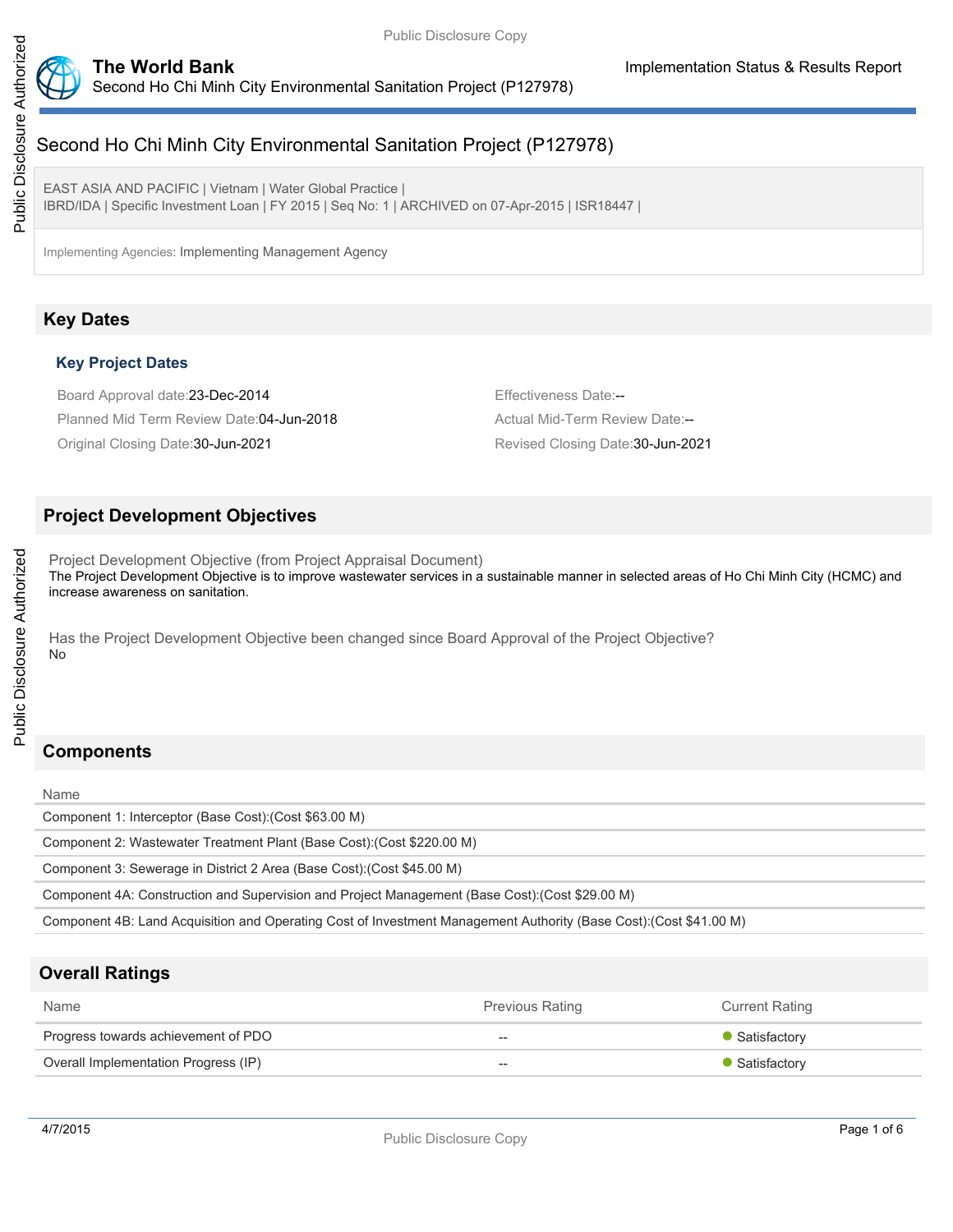

# Second Ho Chi Minh City Environmental Sanitation Project (P127978)

EAST ASIA AND PACIFIC | Vietnam | Water Global Practice | IBRD/IDA | Specific Investment Loan | FY 2015 | Seq No: 1 | ARCHIVED on 07-Apr-2015 | ISR18447 |

Implementing Agencies: Implementing Management Agency

# **Key Dates**

# **Key Project Dates**

Board Approval date: 23-Dec-2014 **Effectiveness Date:--**Planned Mid Term Review Date: 04-Jun-2018 Actual Mid-Term Review Date:--Original Closing Date:30-Jun-2021 Revised Closing Date:30-Jun-2021

# **Project Development Objectives**

Project Development Objective (from Project Appraisal Document) The Project Development Objective is to improve wastewater services in a sustainable manner in selected areas of Ho Chi Minh City (HCMC) and increase awareness on sanitation.

Has the Project Development Objective been changed since Board Approval of the Project Objective? No

# **Components**

Name

Public Disclosure Authorized

Public Disclosure Authorized

Component 1: Interceptor (Base Cost):(Cost \$63.00 M)

Component 2: Wastewater Treatment Plant (Base Cost):(Cost \$220.00 M)

Component 3: Sewerage in District 2 Area (Base Cost):(Cost \$45.00 M)

Component 4A: Construction and Supervision and Project Management (Base Cost):(Cost \$29.00 M)

Component 4B: Land Acquisition and Operating Cost of Investment Management Authority (Base Cost):(Cost \$41.00 M)

# **Overall Ratings**

| Name                                 | <b>Previous Rating</b> | <b>Current Rating</b> |
|--------------------------------------|------------------------|-----------------------|
| Progress towards achievement of PDO  | $- -$                  | • Satisfactory        |
| Overall Implementation Progress (IP) | $- -$                  | • Satisfactory        |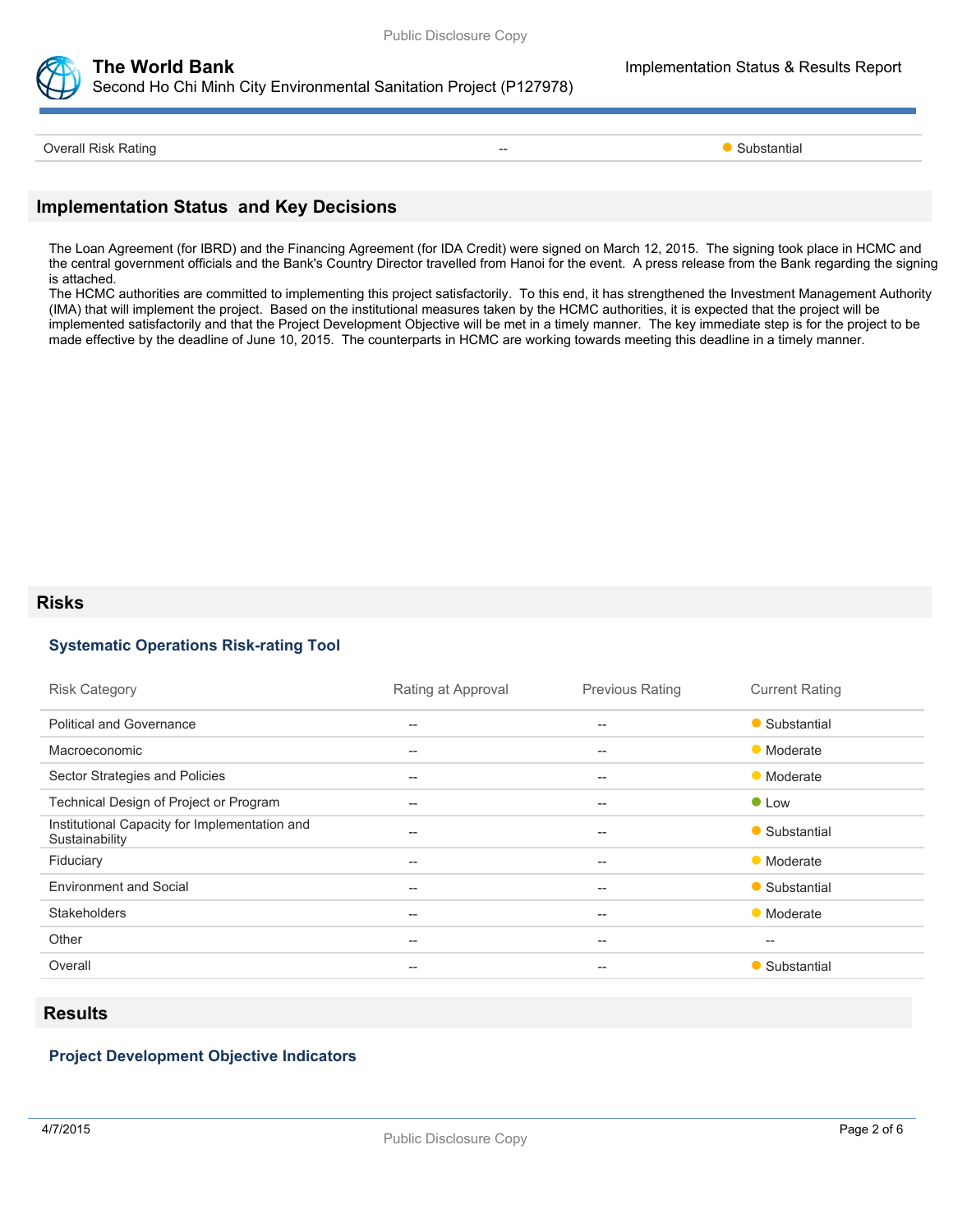

Second Ho Chi Minh City Environmental Sanitation Project (P127978)

**The World Bank Implementation Status & Results Report** 

Overall Risk Rating **Contract Contract Contract Contract Contract Contract Contract Contract Contract Contract Contract Contract Contract Contract Contract Contract Contract Contract Contract Contract Contract Contract Con** 

## **Implementation Status and Key Decisions**

The Loan Agreement (for IBRD) and the Financing Agreement (for IDA Credit) were signed on March 12, 2015. The signing took place in HCMC and the central government officials and the Bank's Country Director travelled from Hanoi for the event. A press release from the Bank regarding the signing is attached.

The HCMC authorities are committed to implementing this project satisfactorily. To this end, it has strengthened the Investment Management Authority (IMA) that will implement the project. Based on the institutional measures taken by the HCMC authorities, it is expected that the project will be implemented satisfactorily and that the Project Development Objective will be met in a timely manner. The key immediate step is for the project to be made effective by the deadline of June 10, 2015. The counterparts in HCMC are working towards meeting this deadline in a timely manner.

### **Risks**

### **Systematic Operations Risk-rating Tool**

| <b>Risk Category</b>                                            | Rating at Approval | <b>Previous Rating</b>                              | <b>Current Rating</b> |
|-----------------------------------------------------------------|--------------------|-----------------------------------------------------|-----------------------|
| <b>Political and Governance</b>                                 | --                 | $- -$                                               | • Substantial         |
| Macroeconomic                                                   | --                 | $\hspace{0.05cm} -\hspace{0.05cm} -\hspace{0.05cm}$ | • Moderate            |
| Sector Strategies and Policies                                  | $--$               | $\qquad \qquad -$                                   | • Moderate            |
| Technical Design of Project or Program                          | $--$               | $\hspace{0.05cm} -\hspace{0.05cm} -\hspace{0.05cm}$ | • Low                 |
| Institutional Capacity for Implementation and<br>Sustainability | --                 | $\overline{\phantom{m}}$                            | • Substantial         |
| Fiduciary                                                       | $--$               | $\hspace{0.05cm} -\hspace{0.05cm} -\hspace{0.05cm}$ | • Moderate            |
| <b>Environment and Social</b>                                   | $--$               | $\hspace{0.05cm} -\hspace{0.05cm} -\hspace{0.05cm}$ | • Substantial         |
| <b>Stakeholders</b>                                             | $- -$              | $- -$                                               | • Moderate            |
| Other                                                           | $--$               | $\qquad \qquad -$                                   | $- -$                 |
| Overall                                                         | --                 | --                                                  | • Substantial         |
|                                                                 |                    |                                                     |                       |

## **Results**

# **Project Development Objective Indicators**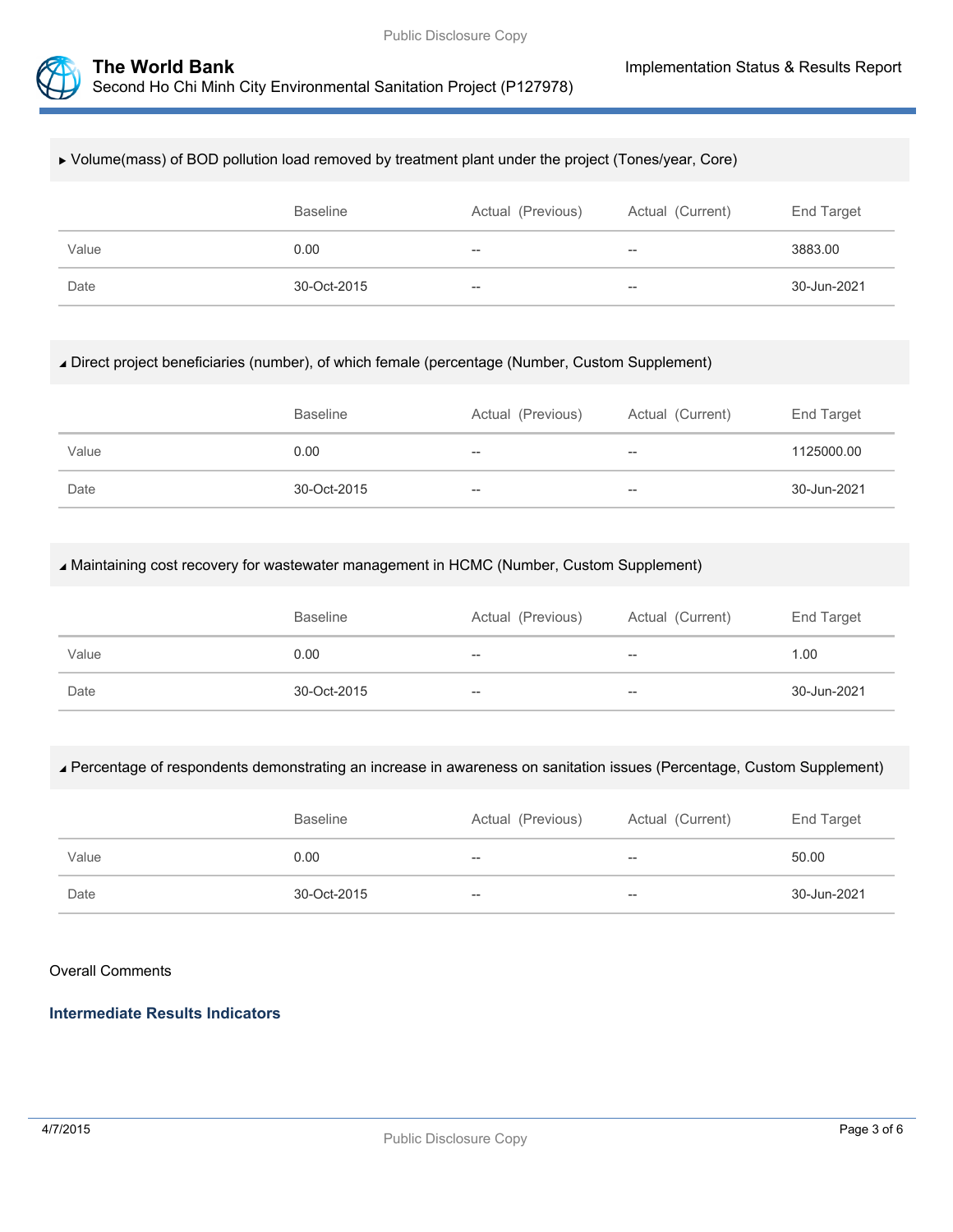



#### Volume(mass) of BOD pollution load removed by treatment plant under the project (Tones/year, Core)

|       | <b>Baseline</b> | Actual (Previous) | Actual (Current)         | End Target  |
|-------|-----------------|-------------------|--------------------------|-------------|
| Value | 0.00            | $- -$             | $\overline{\phantom{m}}$ | 3883.00     |
| Date  | 30-Oct-2015     | $-\!$             | $- -$                    | 30-Jun-2021 |

#### Direct project beneficiaries (number), of which female (percentage (Number, Custom Supplement)

|       | <b>Baseline</b> | Actual (Previous) | Actual (Current)  | End Target  |
|-------|-----------------|-------------------|-------------------|-------------|
| Value | 0.00            | $- -$             | $\hspace{0.05cm}$ | 1125000.00  |
| Date  | 30-Oct-2015     | $- -$             | --                | 30-Jun-2021 |

#### Maintaining cost recovery for wastewater management in HCMC (Number, Custom Supplement)

|       | <b>Baseline</b> | Actual (Previous) | Actual (Current)  | End Target  |
|-------|-----------------|-------------------|-------------------|-------------|
| Value | 0.00            | $- -$             | $\hspace{0.05cm}$ | 1.00        |
| Date  | 30-Oct-2015     | $- -$             | --                | 30-Jun-2021 |

#### Percentage of respondents demonstrating an increase in awareness on sanitation issues (Percentage, Custom Supplement)

|       | <b>Baseline</b> | Actual (Previous) | Actual (Current) | End Target  |
|-------|-----------------|-------------------|------------------|-------------|
| Value | 0.00            | $- -$             | $-$              | 50.00       |
| Date  | 30-Oct-2015     | $- -$             | $- -$            | 30-Jun-2021 |

#### Overall Comments

# **Intermediate Results Indicators**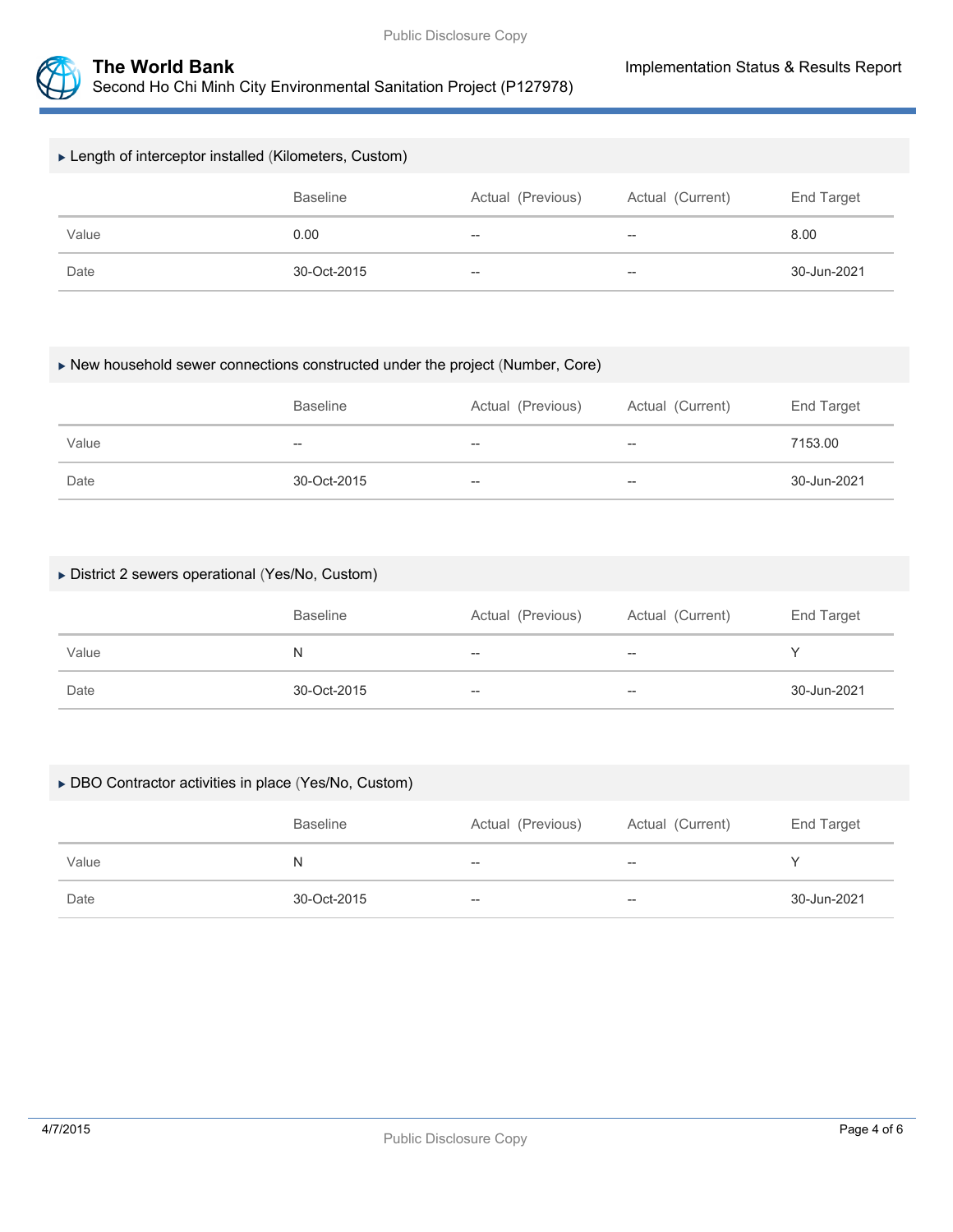

| ► Length of interceptor installed (Kilometers, Custom)                 |      |                          |       |      |  |
|------------------------------------------------------------------------|------|--------------------------|-------|------|--|
| Actual (Previous)<br><b>Baseline</b><br>Actual (Current)<br>End Target |      |                          |       |      |  |
| Value                                                                  | 0.00 | $\overline{\phantom{m}}$ | $- -$ | 8.00 |  |
| Date<br>30-Oct-2015<br>$\overline{\phantom{m}}$<br>$- -$               |      |                          |       |      |  |

#### New household sewer connections constructed under the project (Number, Core)

|       | <b>Baseline</b> | Actual (Previous)        | Actual (Current) | End Target  |
|-------|-----------------|--------------------------|------------------|-------------|
| Value | $- -$           | $\overline{\phantom{m}}$ | $- -$            | 7153.00     |
| Date  | 30-Oct-2015     | $-$                      | $- -$            | 30-Jun-2021 |

### District 2 sewers operational (Yes/No, Custom)

|       | <b>Baseline</b> | Actual (Previous)        | Actual (Current) | End Target  |
|-------|-----------------|--------------------------|------------------|-------------|
| Value | N               | $- -$                    | $- -$            |             |
| Date  | 30-Oct-2015     | $\overline{\phantom{m}}$ | $- -$            | 30-Jun-2021 |

#### DBO Contractor activities in place (Yes/No, Custom)

|       | <b>Baseline</b> | Actual (Previous) | Actual (Current) | End Target  |
|-------|-----------------|-------------------|------------------|-------------|
| Value | N               | $- -$             | $- -$            |             |
| Date  | 30-Oct-2015     | $--$              | $- -$            | 30-Jun-2021 |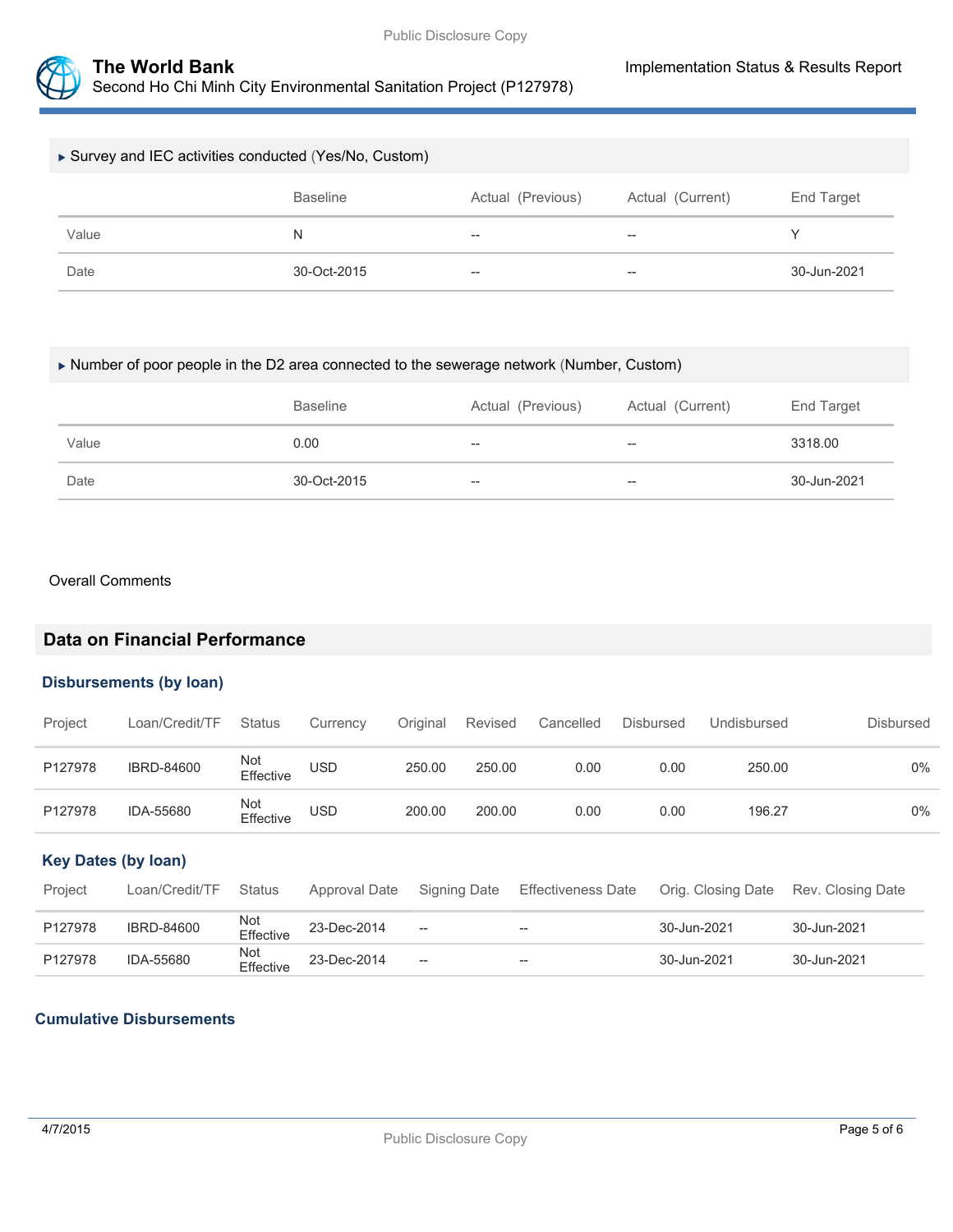

| Survey and IEC activities conducted (Yes/No, Custom) |                 |                          |                  |             |  |
|------------------------------------------------------|-----------------|--------------------------|------------------|-------------|--|
|                                                      | <b>Baseline</b> | Actual (Previous)        | Actual (Current) | End Target  |  |
| Value                                                | N               | $\overline{\phantom{m}}$ | $- -$            | v           |  |
| Date                                                 | 30-Oct-2015     | $\overline{\phantom{m}}$ | $- -$            | 30-Jun-2021 |  |

#### Number of poor people in the D2 area connected to the sewerage network (Number, Custom)

|       | <b>Baseline</b> | Actual (Previous)        | Actual (Current) | End Target  |
|-------|-----------------|--------------------------|------------------|-------------|
| Value | 0.00            | $\hspace{0.05cm} \cdots$ | $- -$            | 3318.00     |
| Date  | 30-Oct-2015     | $\overline{\phantom{a}}$ | $- -$            | 30-Jun-2021 |

#### Overall Comments

# **Data on Financial Performance**

#### **Disbursements (by loan)**

| Project | Loan/Credit/TF    | <b>Status</b>    | Currency   | Original | Revised | Cancelled | Disbursed | Undisbursed | <b>Disbursed</b> |
|---------|-------------------|------------------|------------|----------|---------|-----------|-----------|-------------|------------------|
| P127978 | <b>IBRD-84600</b> | Not<br>Effective | <b>USD</b> | 250.00   | 250.00  | 0.00      | 0.00      | 250.00      | $0\%$            |
| P127978 | IDA-55680         | Not<br>Effective | USD        | 200.00   | 200.00  | 0.00      | 0.00      | 196.27      | $0\%$            |

## **Key Dates (by loan)**

| Project | Loan/Credit/TF    | <b>Status</b>    | Approval Date | Signing Date                | Effectiveness Date | Orig. Closing Date Rev. Closing Date |             |
|---------|-------------------|------------------|---------------|-----------------------------|--------------------|--------------------------------------|-------------|
| P127978 | <b>IBRD-84600</b> | Not<br>Effective | 23-Dec-2014   | $\hspace{0.05cm} \ldots$    | $\sim$             | 30-Jun-2021                          | 30-Jun-2021 |
| P127978 | IDA-55680         | Not<br>Effective | 23-Dec-2014   | $\mathcal{L}_{\mathcal{A}}$ | $- -$              | 30-Jun-2021                          | 30-Jun-2021 |

## **Cumulative Disbursements**